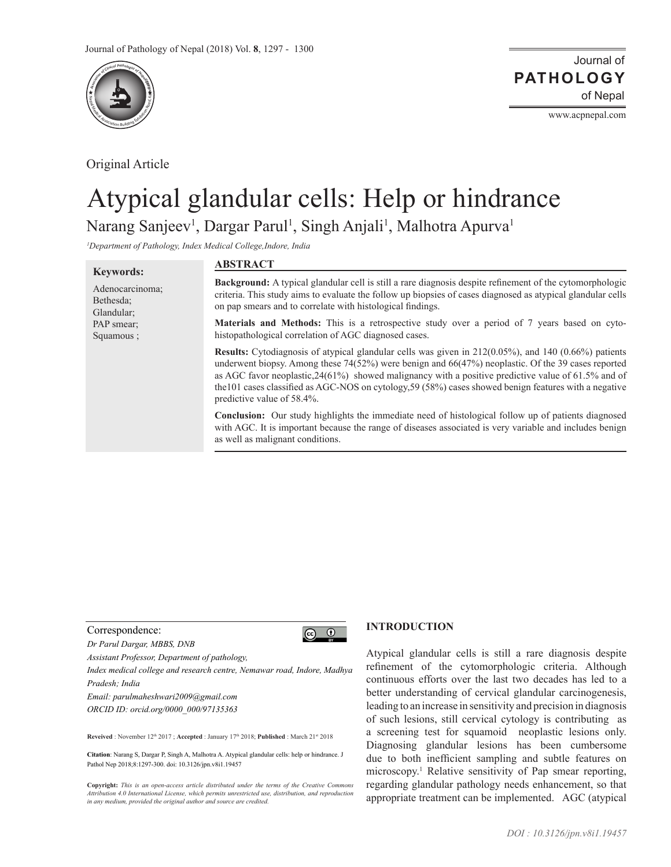

Original Article

**Keywords:** Adenocarcinoma; Bethesda; Glandular; PAP smear; Squamous ;

www.acpnepal.com

# Atypical glandular cells: Help or hindrance Narang Sanjeev<sup>1</sup>, Dargar Parul<sup>1</sup>, Singh Anjali<sup>1</sup>, Malhotra Apurva<sup>1</sup>

*1 Department of Pathology, Index Medical College,Indore, India*

## **ABSTRACT**

**Background:** A typical glandular cell is still a rare diagnosis despite refinement of the cytomorphologic criteria. This study aims to evaluate the follow up biopsies of cases diagnosed as atypical glandular cells on pap smears and to correlate with histological findings.

**Materials and Methods:** This is a retrospective study over a period of 7 years based on cytohistopathological correlation of AGC diagnosed cases.

**Results:** Cytodiagnosis of atypical glandular cells was given in 212(0.05%), and 140 (0.66%) patients underwent biopsy. Among these 74(52%) were benign and 66(47%) neoplastic. Of the 39 cases reported as AGC favor neoplastic,24(61%) showed malignancy with a positive predictive value of 61.5% and of the101 cases classified as AGC-NOS on cytology,59 (58%) cases showed benign features with a negative predictive value of 58.4%.

**Conclusion:** Our study highlights the immediate need of histological follow up of patients diagnosed with AGC. It is important because the range of diseases associated is very variable and includes benign as well as malignant conditions.

#### Correspondence:

*Dr Parul Dargar, MBBS, DNB*

*Assistant Professor, Department of pathology,* 

*Index medical college and research centre, Nemawar road, Indore, Madhya Pradesh; India*

*Email: parulmaheshwari2009@gmail.com ORCID ID: orcid.org/0000\_000/97135363*

Reveived : November 12<sup>th</sup> 2017 ; Accepted : January 17<sup>th</sup> 2018; Published : March 21<sup>st</sup> 2018

**Citation**: Narang S, Dargar P, Singh A, Malhotra A. Atypical glandular cells: help or hindrance. J Pathol Nep 2018;8:1297-300. doi: 10.3126/jpn.v8i1.19457

**Copyright:** *This is an open-access article distributed under the terms of the Creative Commons Attribution 4.0 International License, which permits unrestricted use, distribution, and reproduction in any medium, provided the original author and source are credited.*

### **INTRODUCTION**

Atypical glandular cells is still a rare diagnosis despite refinement of the cytomorphologic criteria. Although continuous efforts over the last two decades has led to a better understanding of cervical glandular carcinogenesis, leading to an increase in sensitivity and precision in diagnosis of such lesions, still cervical cytology is contributing as a screening test for squamoid neoplastic lesions only. Diagnosing glandular lesions has been cumbersome due to both inefficient sampling and subtle features on microscopy.1 Relative sensitivity of Pap smear reporting, regarding glandular pathology needs enhancement, so that appropriate treatment can be implemented. AGC (atypical

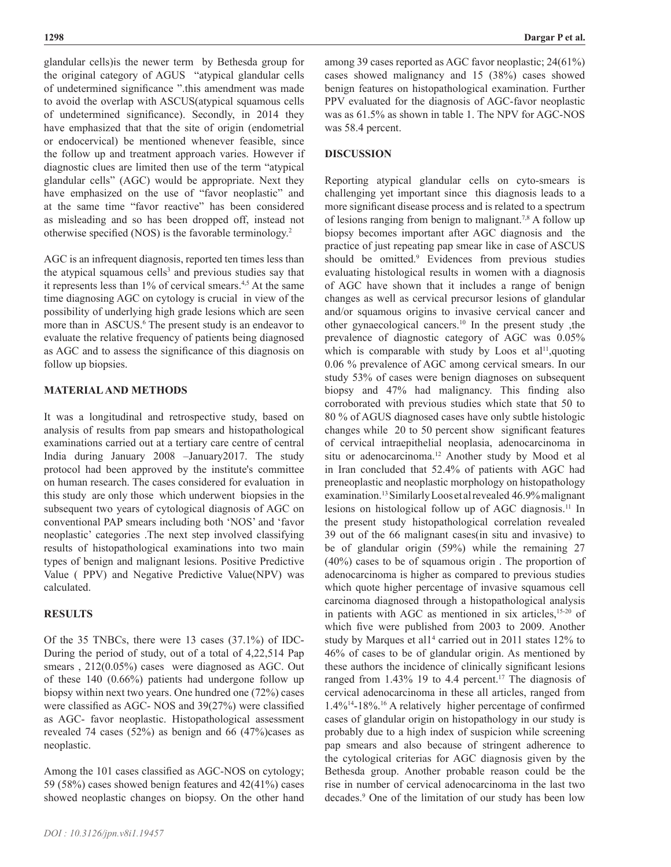glandular cells)is the newer term by Bethesda group for the original category of AGUS "atypical glandular cells of undetermined significance ".this amendment was made to avoid the overlap with ASCUS(atypical squamous cells of undetermined significance). Secondly, in 2014 they have emphasized that that the site of origin (endometrial or endocervical) be mentioned whenever feasible, since the follow up and treatment approach varies. However if diagnostic clues are limited then use of the term "atypical glandular cells" (AGC) would be appropriate. Next they have emphasized on the use of "favor neoplastic" and at the same time "favor reactive" has been considered as misleading and so has been dropped off, instead not otherwise specified (NOS) is the favorable terminology.<sup>2</sup>

AGC is an infrequent diagnosis, reported ten times less than the atypical squamous cells<sup>3</sup> and previous studies say that it represents less than 1% of cervical smears.<sup>4,5</sup> At the same time diagnosing AGC on cytology is crucial in view of the possibility of underlying high grade lesions which are seen more than in ASCUS.<sup>6</sup> The present study is an endeavor to evaluate the relative frequency of patients being diagnosed as AGC and to assess the significance of this diagnosis on follow up biopsies.

### **MATERIAL AND METHODS**

It was a longitudinal and retrospective study, based on analysis of results from pap smears and histopathological examinations carried out at a tertiary care centre of central India during January 2008 –January2017. The study protocol had been approved by the institute's committee on human research. The cases considered for evaluation in this study are only those which underwent biopsies in the subsequent two years of cytological diagnosis of AGC on conventional PAP smears including both 'NOS' and 'favor neoplastic' categories .The next step involved classifying results of histopathological examinations into two main types of benign and malignant lesions. Positive Predictive Value ( PPV) and Negative Predictive Value(NPV) was calculated.

### **RESULTS**

Of the 35 TNBCs, there were 13 cases (37.1%) of IDC-During the period of study, out of a total of 4,22,514 Pap smears, 212(0.05%) cases were diagnosed as AGC. Out of these 140 (0.66%) patients had undergone follow up biopsy within next two years. One hundred one (72%) cases were classified as AGC- NOS and 39(27%) were classified as AGC- favor neoplastic. Histopathological assessment revealed 74 cases  $(52%)$  as benign and 66  $(47%)$  cases as neoplastic.

Among the 101 cases classified as AGC-NOS on cytology; 59 (58%) cases showed benign features and 42(41%) cases showed neoplastic changes on biopsy. On the other hand among 39 cases reported as AGC favor neoplastic; 24(61%) cases showed malignancy and 15 (38%) cases showed benign features on histopathological examination. Further PPV evaluated for the diagnosis of AGC-favor neoplastic was as 61.5% as shown in table 1. The NPV for AGC-NOS was 58.4 percent.

## **DISCUSSION**

Reporting atypical glandular cells on cyto-smears is challenging yet important since this diagnosis leads to a more significant disease process and is related to a spectrum of lesions ranging from benign to malignant.<sup>7,8</sup> A follow up biopsy becomes important after AGC diagnosis and the practice of just repeating pap smear like in case of ASCUS should be omitted.<sup>9</sup> Evidences from previous studies evaluating histological results in women with a diagnosis of AGC have shown that it includes a range of benign changes as well as cervical precursor lesions of glandular and/or squamous origins to invasive cervical cancer and other gynaecological cancers.10 In the present study ,the prevalence of diagnostic category of AGC was 0.05% which is comparable with study by Loos et al<sup>11</sup>, quoting 0.06 % prevalence of AGC among cervical smears. In our study 53% of cases were benign diagnoses on subsequent biopsy and 47% had malignancy. This finding also corroborated with previous studies which state that 50 to 80 % of AGUS diagnosed cases have only subtle histologic changes while 20 to 50 percent show significant features of cervical intraepithelial neoplasia, adenocarcinoma in situ or adenocarcinoma.<sup>12</sup> Another study by Mood et al in Iran concluded that 52.4% of patients with AGC had preneoplastic and neoplastic morphology on histopathology examination.13 Similarly Loos et al revealed 46.9% malignant lesions on histological follow up of AGC diagnosis.11 In the present study histopathological correlation revealed 39 out of the 66 malignant cases(in situ and invasive) to be of glandular origin (59%) while the remaining 27 (40%) cases to be of squamous origin . The proportion of adenocarcinoma is higher as compared to previous studies which quote higher percentage of invasive squamous cell carcinoma diagnosed through a histopathological analysis in patients with AGC as mentioned in six articles,<sup>15-20</sup> of which five were published from 2003 to 2009. Another study by Marques et all<sup>4</sup> carried out in 2011 states 12% to 46% of cases to be of glandular origin. As mentioned by these authors the incidence of clinically significant lesions ranged from 1.43% 19 to 4.4 percent.<sup>17</sup> The diagnosis of cervical adenocarcinoma in these all articles, ranged from 1.4%14-18%.16 A relatively higher percentage of confirmed cases of glandular origin on histopathology in our study is probably due to a high index of suspicion while screening pap smears and also because of stringent adherence to the cytological criterias for AGC diagnosis given by the Bethesda group. Another probable reason could be the rise in number of cervical adenocarcinoma in the last two decades.9 One of the limitation of our study has been low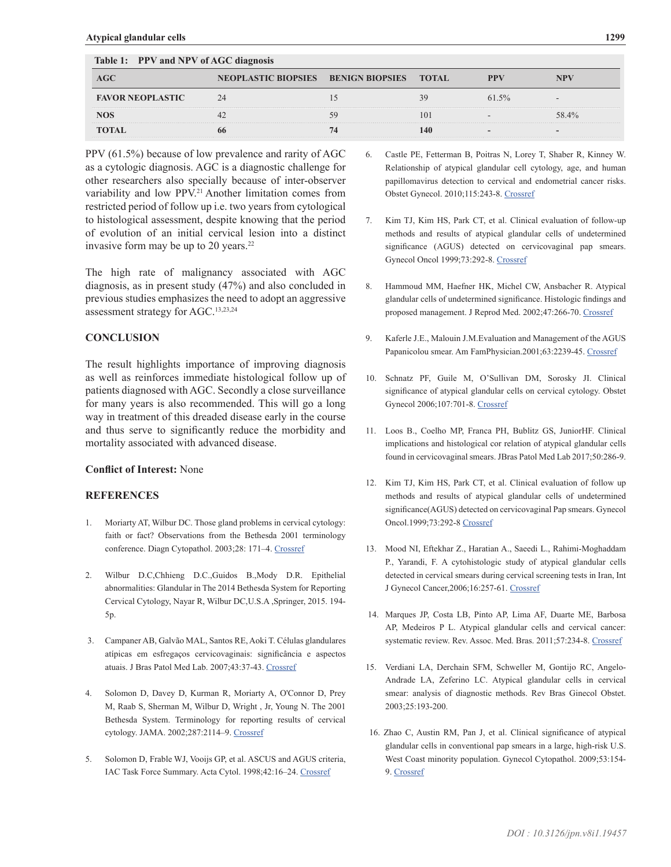| TAUR 1, II V ANG NI V ULAOC GREGOSIS |                                            |  |              |       |       |
|--------------------------------------|--------------------------------------------|--|--------------|-------|-------|
| <b>AGC</b>                           | <b>NEOPLASTIC BIOPSIES BENIGN BIOPSIES</b> |  | <b>TOTAL</b> | PPV   |       |
| <b>FAVOR NEOPLASTIC</b>              | 24                                         |  |              | 61.5% |       |
| NOS                                  |                                            |  | $\mathbf{U}$ |       | 58.4% |
| <b>TOTAL</b>                         | 66                                         |  |              |       |       |

 **Table 1: PPV and NPV of AGC diagnosis** 

PPV (61.5%) because of low prevalence and rarity of AGC as a cytologic diagnosis. AGC is a diagnostic challenge for other researchers also specially because of inter-observer variability and low PPV.<sup>21</sup> Another limitation comes from restricted period of follow up i.e. two years from cytological to histological assessment, despite knowing that the period of evolution of an initial cervical lesion into a distinct invasive form may be up to 20 years.<sup>22</sup>

The high rate of malignancy associated with AGC diagnosis, as in present study (47%) and also concluded in previous studies emphasizes the need to adopt an aggressive assessment strategy for AGC.13,23,24

#### **CONCLUSION**

The result highlights importance of improving diagnosis as well as reinforces immediate histological follow up of patients diagnosed with AGC. Secondly a close surveillance for many years is also recommended. This will go a long way in treatment of this dreaded disease early in the course and thus serve to significantly reduce the morbidity and mortality associated with advanced disease.

### **Conflict of Interest:** None

#### **REFERENCES**

- 1. Moriarty AT, Wilbur DC. Those gland problems in cervical cytology: faith or fact? Observations from the Bethesda 2001 terminology conference. Diagn Cytopathol. 2003;28: 171–4. [Crossref](https://doi.org/10.1002/dc.10278)
- 2. Wilbur D.C,Chhieng D.C.,Guidos B.,Mody D.R. Epithelial abnormalities: Glandular in The 2014 Bethesda System for Reporting Cervical Cytology, Nayar R, Wilbur DC,U.S.A ,Springer, 2015. 194- 5p.
- 3. Campaner AB, Galvão MAL, Santos RE, Aoki T. Células glandulares atípicas em esfregaços cervicovaginais: significância e aspectos atuais. J Bras Patol Med Lab. 2007;43:37-43. [Crossref](https://doi.org/10.1590/S1676-24442007000100008)
- 4. Solomon D, Davey D, Kurman R, Moriarty A, O'Connor D, Prey M, Raab S, Sherman M, Wilbur D, Wright , Jr, Young N. The 2001 Bethesda System. Terminology for reporting results of cervical cytology. JAMA. 2002;287:2114–9. [Crossref](https://doi.org/10.1001/jama.287.16.2114)
- 5. Solomon D, Frable WJ, Vooijs GP, et al. ASCUS and AGUS criteria, IAC Task Force Summary. Acta Cytol. 1998;42:16–24. [Crossref](https://doi.org/10.1159/000331531)
- 6. Castle PE, Fetterman B, Poitras N, Lorey T, Shaber R, Kinney W. Relationship of atypical glandular cell cytology, age, and human papillomavirus detection to cervical and endometrial cancer risks. Obstet Gynecol. 2010;115:243-8. [Crossref](https://doi.org/10.1097/AOG.0b013e3181c799a3)
- 7. Kim TJ, Kim HS, Park CT, et al. Clinical evaluation of follow-up methods and results of atypical glandular cells of undetermined significance (AGUS) detected on cervicovaginal pap smears. Gynecol Oncol 1999;73:292-8. [Crossref](https://doi.org/10.1006/gyno.1999.5360.)
- 8. Hammoud MM, Haefner HK, Michel CW, Ansbacher R. Atypical glandular cells of undetermined significance. Histologic findings and proposed management. J Reprod Med. 2002;47:266-70. [Crossref](https://doi.org/10.1097/00006254-200211000-00015)
- Kaferle J.E., Malouin J.M.Evaluation and Management of the AGUS Papanicolou smear. Am FamPhysician.2001;63:2239-45. [Crossref](PMid:11417776)
- 10. Schnatz PF, Guile M, O'Sullivan DM, Sorosky JI. Clinical significance of atypical glandular cells on cervical cytology. Obstet Gynecol 2006;107:701-8. [Crossref](https://doi.org/10.1097/01.AOG.0000202401.29145.68)
- 11. Loos B., Coelho MP, Franca PH, Bublitz GS, JuniorHF. Clinical implications and histological cor relation of atypical glandular cells found in cervicovaginal smears. JBras Patol Med Lab 2017;50:286-9.
- 12. Kim TJ, Kim HS, Park CT, et al. Clinical evaluation of follow up methods and results of atypical glandular cells of undetermined significance(AGUS) detected on cervicovaginal Pap smears. Gynecol Oncol.1999;73:292-8 [Crossref](https://doi.org/10.1006/gyno.1999.5360)
- 13. Mood NI, Eftekhar Z., Haratian A., Saeedi L., Rahimi-Moghaddam P., Yarandi, F. A cytohistologic study of atypical glandular cells detected in cervical smears during cervical screening tests in Iran, Int J Gynecol Cancer,2006;16:257-61. [Crossref](https://doi.org/10.1111/j.1525-1438.2006.00346.x)
- 14. Marques JP, Costa LB, Pinto AP, Lima AF, Duarte ME, Barbosa AP, Medeiros P L. Atypical glandular cells and cervical cancer: systematic review. Rev. Assoc. Med. Bras. 2011;57:234-8. [Crossref](https://doi.org/10.1590/S0104-42302011000200024)
- 15. Verdiani LA, Derchain SFM, Schweller M, Gontijo RC, Angelo-Andrade LA, Zeferino LC. Atypical glandular cells in cervical smear: analysis of diagnostic methods. Rev Bras Ginecol Obstet. 2003;25:193-200.
- 16. Zhao C, Austin RM, Pan J, et al. Clinical significance of atypical glandular cells in conventional pap smears in a large, high-risk U.S. West Coast minority population. Gynecol Cytopathol. 2009;53:154- 9. [Crossref](https://doi.org/10.1159/000325117)